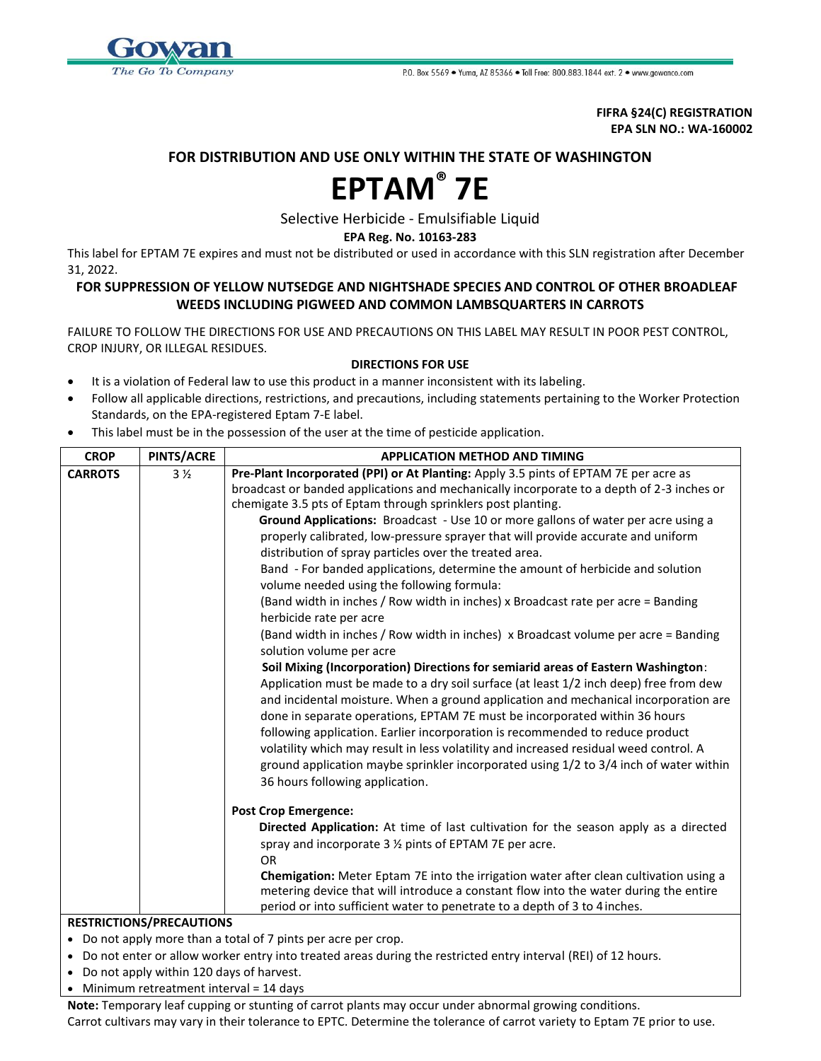

**FIFRA §24(C) REGISTRATION EPA SLN NO.: WA-160002**

## **FOR DISTRIBUTION AND USE ONLY WITHIN THE STATE OF WASHINGTON**

## **EPTAM® 7E**

Selective Herbicide - Emulsifiable Liquid

**EPA Reg. No. 10163-283**

This label for EPTAM 7E expires and must not be distributed or used in accordance with this SLN registration after December 31, 2022.

## **FOR SUPPRESSION OF YELLOW NUTSEDGE AND NIGHTSHADE SPECIES AND CONTROL OF OTHER BROADLEAF WEEDS INCLUDING PIGWEED AND COMMON LAMBSQUARTERS IN CARROTS**

FAILURE TO FOLLOW THE DIRECTIONS FOR USE AND PRECAUTIONS ON THIS LABEL MAY RESULT IN POOR PEST CONTROL, CROP INJURY, OR ILLEGAL RESIDUES.

## **DIRECTIONS FOR USE**

- It is a violation of Federal law to use this product in a manner inconsistent with its labeling.
- Follow all applicable directions, restrictions, and precautions, including statements pertaining to the Worker Protection Standards, on the EPA-registered Eptam 7-E label.
- This label must be in the possession of the user at the time of pesticide application.

| <b>CROP</b>                     | PINTS/ACRE     | <b>APPLICATION METHOD AND TIMING</b>                                                                                                                                          |
|---------------------------------|----------------|-------------------------------------------------------------------------------------------------------------------------------------------------------------------------------|
| <b>CARROTS</b>                  | 3 <sub>2</sub> | Pre-Plant Incorporated (PPI) or At Planting: Apply 3.5 pints of EPTAM 7E per acre as                                                                                          |
|                                 |                | broadcast or banded applications and mechanically incorporate to a depth of 2-3 inches or                                                                                     |
|                                 |                | chemigate 3.5 pts of Eptam through sprinklers post planting.                                                                                                                  |
|                                 |                | Ground Applications: Broadcast - Use 10 or more gallons of water per acre using a                                                                                             |
|                                 |                | properly calibrated, low-pressure sprayer that will provide accurate and uniform                                                                                              |
|                                 |                | distribution of spray particles over the treated area.                                                                                                                        |
|                                 |                | Band - For banded applications, determine the amount of herbicide and solution<br>volume needed using the following formula:                                                  |
|                                 |                | (Band width in inches / Row width in inches) x Broadcast rate per acre = Banding<br>herbicide rate per acre                                                                   |
|                                 |                | (Band width in inches / Row width in inches) x Broadcast volume per acre = Banding<br>solution volume per acre                                                                |
|                                 |                | Soil Mixing (Incorporation) Directions for semiarid areas of Eastern Washington:                                                                                              |
|                                 |                | Application must be made to a dry soil surface (at least 1/2 inch deep) free from dew                                                                                         |
|                                 |                | and incidental moisture. When a ground application and mechanical incorporation are                                                                                           |
|                                 |                | done in separate operations, EPTAM 7E must be incorporated within 36 hours                                                                                                    |
|                                 |                | following application. Earlier incorporation is recommended to reduce product                                                                                                 |
|                                 |                | volatility which may result in less volatility and increased residual weed control. A                                                                                         |
|                                 |                | ground application maybe sprinkler incorporated using 1/2 to 3/4 inch of water within                                                                                         |
|                                 |                | 36 hours following application.                                                                                                                                               |
|                                 |                | <b>Post Crop Emergence:</b>                                                                                                                                                   |
|                                 |                | Directed Application: At time of last cultivation for the season apply as a directed                                                                                          |
|                                 |                | spray and incorporate 3 1/2 pints of EPTAM 7E per acre.                                                                                                                       |
|                                 |                | <b>OR</b>                                                                                                                                                                     |
|                                 |                | Chemigation: Meter Eptam 7E into the irrigation water after clean cultivation using a<br>metering device that will introduce a constant flow into the water during the entire |
|                                 |                | period or into sufficient water to penetrate to a depth of 3 to 4 inches.                                                                                                     |
| <b>RESTRICTIONS/PRECAUTIONS</b> |                |                                                                                                                                                                               |
|                                 |                |                                                                                                                                                                               |

- Do not apply more than a total of 7 pints per acre per crop.
- Do not enter or allow worker entry into treated areas during the restricted entry interval (REI) of 12 hours.
- Do not apply within 120 days of harvest.
- Minimum retreatment interval = 14 days

**Note:** Temporary leaf cupping or stunting of carrot plants may occur under abnormal growing conditions. Carrot cultivars may vary in their tolerance to EPTC. Determine the tolerance of carrot variety to Eptam 7E prior to use.